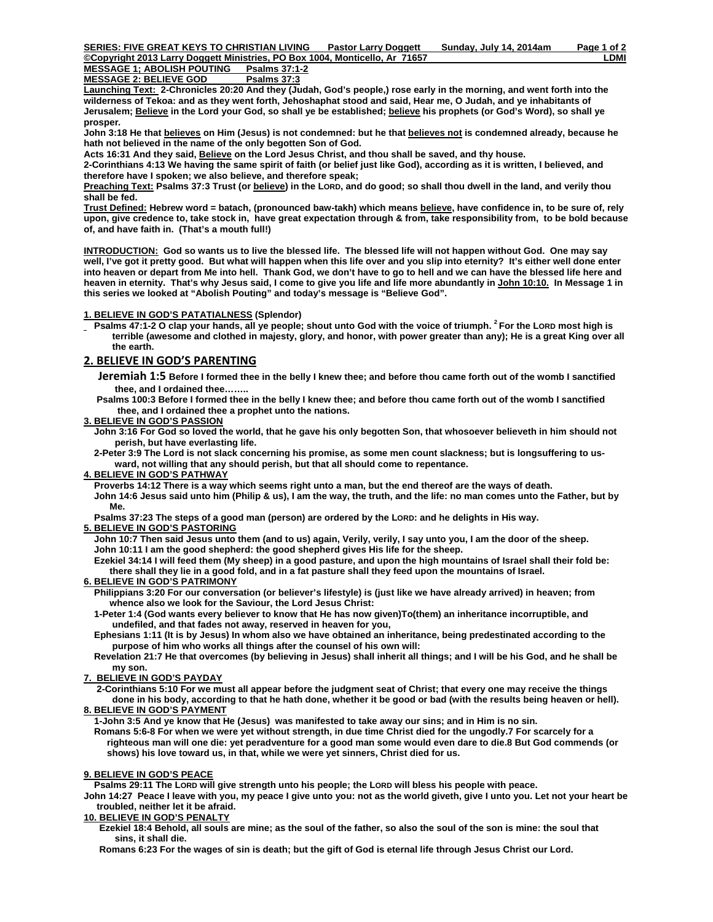**MESSAGE 1; ABOLISH POUTING MESSAGE 2: BELIEVE GOD Psalms 37:3**

**Launching Text: 2-Chronicles 20:20 And they (Judah, God's people,) rose early in the morning, and went forth into the wilderness of Tekoa: and as they went forth, Jehoshaphat stood and said, Hear me, O Judah, and ye inhabitants of Jerusalem; Believe in the Lord your God, so shall ye be established; believe his prophets (or God's Word), so shall ye prosper***.* 

**John 3:18 He that believes on Him (Jesus) is not condemned: but he that believes not is condemned already, because he hath not believed in the name of the only begotten Son of God.** 

**Acts 16:31 And they said, Believe on the Lord Jesus Christ, and thou shall be saved, and thy house.** 

**2-Corinthians 4:13 We having the same spirit of faith (or belief just like God), according as it is written, I believed, and therefore have I spoken; we also believe, and therefore speak;** 

**Preaching Text: Psalms 37:3 Trust (or believe) in the LORD, and do good; so shall thou dwell in the land, and verily thou shall be fed.** 

**Trust Defined: Hebrew word = batach, (pronounced baw-takh) which means believe, have confidence in, to be sure of, rely upon, give credence to, take stock in, have great expectation through & from, take responsibility from, to be bold because of, and have faith in. (That's a mouth full!)** 

**INTRODUCTION: God so wants us to live the blessed life. The blessed life will not happen without God. One may say well, I've got it pretty good. But what will happen when this life over and you slip into eternity? It's either well done enter into heaven or depart from Me into hell. Thank God, we don't have to go to hell and we can have the blessed life here and heaven in eternity. That's why Jesus said, I come to give you life and life more abundantly in John 10:10. In Message 1 in this series we looked at "Abolish Pouting" and today's message is "Believe God".** 

## **1. BELIEVE IN GOD'S PATATIALNESS (Splendor)**

**Psalms 47:1-2 O clap your hands, all ye people; shout unto God with the voice of triumph. <sup>2</sup> For the LORD most high is terrible (awesome and clothed in majesty, glory, and honor, with power greater than any); He is a great King over all the earth.** 

# **2. BELIEVE IN GOD'S PARENTING**

 **Jeremiah 1:5 Before I formed thee in the belly I knew thee; and before thou came forth out of the womb I sanctified thee, and I ordained thee……..** 

 **Psalms 100:3 Before I formed thee in the belly I knew thee; and before thou came forth out of the womb I sanctified thee, and I ordained thee a prophet unto the nations.** 

## **3. BELIEVE IN GOD'S PASSION**

 **John 3:16 For God so loved the world, that he gave his only begotten Son, that whosoever believeth in him should not perish, but have everlasting life.** 

 **2-Peter 3:9 The Lord is not slack concerning his promise, as some men count slackness; but is longsuffering to us ward, not willing that any should perish, but that all should come to repentance.** 

## **4. BELIEVE IN GOD'S PATHWAY**

 **Proverbs 14:12 There is a way which seems right unto a man, but the end thereof are the ways of death. John 14:6 Jesus said unto him (Philip & us), I am the way, the truth, and the life: no man comes unto the Father, but by Me.** 

 **Psalms 37:23 The steps of a good man (person) are ordered by the LORD: and he delights in His way.** 

## **5. BELIEVE IN GOD'S PASTORING**

 **John 10:7 Then said Jesus unto them (and to us) again, Verily, verily, I say unto you, I am the door of the sheep. John 10:11 I am the good shepherd: the good shepherd gives His life for the sheep.** 

 **Ezekiel 34:14 I will feed them (My sheep) in a good pasture, and upon the high mountains of Israel shall their fold be: there shall they lie in a good fold, and in a fat pasture shall they feed upon the mountains of Israel.** 

## **6. BELIEVE IN GOD'S PATRIMONY**

- **Philippians 3:20 For our conversation (or believer's lifestyle) is (just like we have already arrived) in heaven; from whence also we look for the Saviour, the Lord Jesus Christ:**
- **1-Peter 1:4 (God wants every believer to know that He has now given)To(them) an inheritance incorruptible, and undefiled, and that fades not away, reserved in heaven for you,**
- **Ephesians 1:11 (It is by Jesus) In whom also we have obtained an inheritance, being predestinated according to the purpose of him who works all things after the counsel of his own will:**
- **Revelation 21:7 He that overcomes (by believing in Jesus) shall inherit all things; and I will be his God, and he shall be my son.**

## **7. BELIEVE IN GOD'S PAYDAY**

 **2-Corinthians 5:10 For we must all appear before the judgment seat of Christ; that every one may receive the things done in his body, according to that he hath done, whether it be good or bad (with the results being heaven or hell). 8. BELIEVE IN GOD'S PAYMENT**

 **1-John 3:5 And ye know that He (Jesus) was manifested to take away our sins; and in Him is no sin.** 

 **Romans 5:6-8 For when we were yet without strength, in due time Christ died for the ungodly.7 For scarcely for a righteous man will one die: yet peradventure for a good man some would even dare to die.8 But God commends (or shows) his love toward us, in that, while we were yet sinners, Christ died for us.**

# **9. BELIEVE IN GOD'S PEACE**

 **Psalms 29:11 The LORD will give strength unto his people; the LORD will bless his people with peace.** 

**John 14:27 Peace I leave with you, my peace I give unto you: not as the world giveth, give I unto you. Let not your heart be troubled, neither let it be afraid.** 

## **10. BELIEVE IN GOD'S PENALTY**

 **Ezekiel 18:4 Behold, all souls are mine; as the soul of the father, so also the soul of the son is mine: the soul that sins, it shall die.** 

 **Romans 6:23 For the wages of sin is death; but the gift of God is eternal life through Jesus Christ our Lord.**